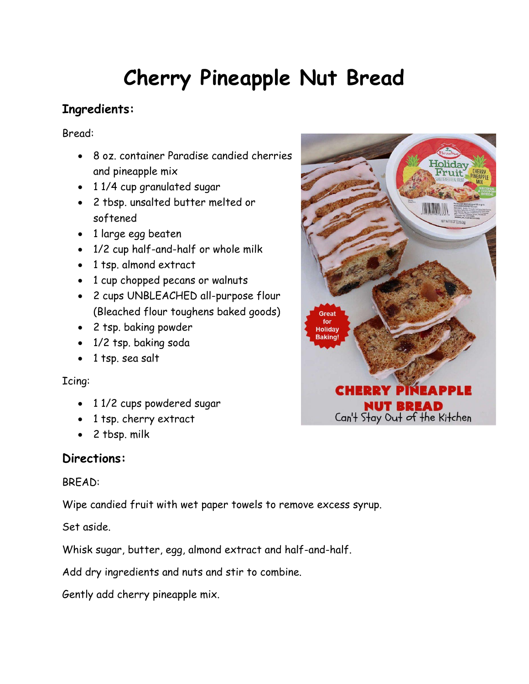# **Cherry Pineapple Nut Bread**

# **Ingredients:**

Bread:

- 8 oz. container Paradise candied cherries and pineapple mix
- 1 1/4 cup granulated sugar
- 2 tbsp. unsalted butter melted or softened
- 1 large egg beaten
- 1/2 cup half-and-half or whole milk
- 1 tsp. almond extract
- 1 cup chopped pecans or walnuts
- 2 cups UNBLEACHED all-purpose flour (Bleached flour toughens baked goods)
- 2 tsp. baking powder
- 1/2 tsp. baking soda
- 1 tsp. sea salt

### Icing:

- 1 1/2 cups powdered sugar
- 1 tsp. cherry extract
- 2 tbsp. milk

## **Directions:**

### BREAD:

Wipe candied fruit with wet paper towels to remove excess syrup.

Set aside.

Whisk sugar, butter, egg, almond extract and half-and-half.

Add dry ingredients and nuts and stir to combine.

Gently add cherry pineapple mix.